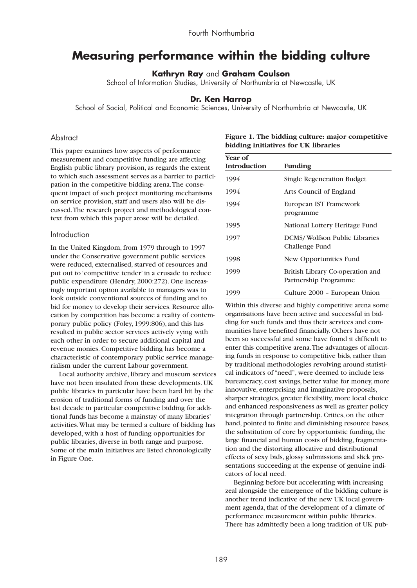# **Measuring performance within the bidding culture**

**Kathryn Ray** and **Graham Coulson**

School of Information Studies, University of Northumbria at Newcastle, UK

## **Dr. Ken Harrop**

School of Social, Political and Economic Sciences, University of Northumbria at Newcastle, UK

# **Abstract**

This paper examines how aspects of performance measurement and competitive funding are affecting English public library provision, as regards the extent to which such assessment serves as a barrier to participation in the competitive bidding arena.The consequent impact of such project monitoring mechanisms on service provision, staff and users also will be discussed.The research project and methodological context from which this paper arose will be detailed.

#### Introduction

In the United Kingdom, from 1979 through to 1997 under the Conservative government public services were reduced, externalised, starved of resources and put out to 'competitive tender' in a crusade to reduce public expenditure (Hendry, 2000:272). One increasingly important option available to managers was to look outside conventional sources of funding and to bid for money to develop their services. Resource allocation by competition has become a reality of contemporary public policy (Foley, 1999:806), and this has resulted in public sector services actively vying with each other in order to secure additional capital and revenue monies. Competitive bidding has become a characteristic of contemporary public service managerialism under the current Labour government.

Local authority archive, library and museum services have not been insulated from these developments. UK public libraries in particular have been hard hit by the erosion of traditional forms of funding and over the last decade in particular competitive bidding for additional funds has become a mainstay of many libraries' activities.What may be termed a culture of bidding has developed, with a host of funding opportunities for public libraries, diverse in both range and purpose. Some of the main initiatives are listed chronologically in Figure One.

| Year of             |                                   |
|---------------------|-----------------------------------|
| <b>Introduction</b> | <b>Funding</b>                    |
| 1994                | <b>Single Regeneration Budget</b> |
| 1994                | Arts Council of England           |

**Figure 1. The bidding culture: major competitive**

**bidding initiatives for UK libraries**

| 1994 | Arts Council of England                                   |
|------|-----------------------------------------------------------|
| 1994 | European IST Framework<br>programme                       |
| 1995 | National Lottery Heritage Fund                            |
| 1997 | <b>DCMS/Wolfson Public Libraries</b><br>Challenge Fund    |
| 1998 | New Opportunities Fund                                    |
| 1999 | British Library Co-operation and<br>Partnership Programme |
| 1999 | Culture 2000 – European Union                             |

Within this diverse and highly competitive arena some organisations have been active and successful in bidding for such funds and thus their services and communities have benefited financially. Others have not been so successful and some have found it difficult to enter this competitive arena.The advantages of allocating funds in response to competitive bids, rather than by traditional methodologies revolving around statistical indicators of "need", were deemed to include less bureaucracy, cost savings, better value for money, more innovative, enterprising and imaginative proposals, sharper strategies, greater flexibility, more local choice and enhanced responsiveness as well as greater policy integration through partnership. Critics, on the other hand, pointed to finite and diminishing resource bases, the substitution of core by opportunistic funding, the large financial and human costs of bidding, fragmentation and the distorting allocative and distributional effects of sexy bids, glossy submissions and slick presentations succeeding at the expense of genuine indicators of local need.

Beginning before but accelerating with increasing zeal alongside the emergence of the bidding culture is another trend indicative of the new UK local government agenda, that of the development of a climate of performance measurement within public libraries. There has admittedly been a long tradition of UK pub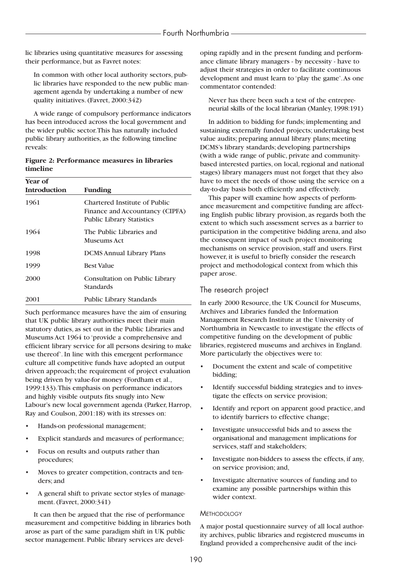lic libraries using quantitative measures for assessing their performance, but as Favret notes:

In common with other local authority sectors, public libraries have responded to the new public management agenda by undertaking a number of new quality initiatives. (Favret, 2000:342)

A wide range of compulsory performance indicators has been introduced across the local government and the wider public sector.This has naturally included public library authorities, as the following timeline reveals:

## **Figure 2: Performance measures in libraries timeline**

| Year of<br><b>Introduction</b> | <b>Funding</b>                                                                                       |
|--------------------------------|------------------------------------------------------------------------------------------------------|
| 1961                           | Chartered Institute of Public<br>Finance and Accountancy (CIPFA)<br><b>Public Library Statistics</b> |
| 1964                           | The Public Libraries and<br>Museums Act                                                              |
| 1998                           | <b>DCMS Annual Library Plans</b>                                                                     |
| 1999                           | <b>Best Value</b>                                                                                    |
| 2000                           | Consultation on Public Library<br>Standards                                                          |
| 2001                           | <b>Public Library Standards</b>                                                                      |

Such performance measures have the aim of ensuring that UK public library authorities meet their main statutory duties, as set out in the Public Libraries and Museums Act 1964 to 'provide a comprehensive and efficient library service for all persons desiring to make use thereof'. In line with this emergent performance culture all competitive funds have adopted an output driven approach; the requirement of project evaluation being driven by value-for money (Fordham et al., 1999:133).This emphasis on performance indicators and highly visible outputs fits snugly into New Labour's new local government agenda (Parker, Harrop, Ray and Coulson, 2001:18) with its stresses on:

- Hands-on professional management;
- Explicit standards and measures of performance;
- Focus on results and outputs rather than procedures;
- Moves to greater competition, contracts and tenders; and
- A general shift to private sector styles of management. (Favret, 2000:341)

It can then be argued that the rise of performance measurement and competitive bidding in libraries both arose as part of the same paradigm shift in UK public sector management. Public library services are developing rapidly and in the present funding and performance climate library managers - by necessity - have to adjust their strategies in order to facilitate continuous development and must learn to 'play the game'.As one commentator contended:

Never has there been such a test of the entrepreneurial skills of the local librarian (Manley, 1998:191)

In addition to bidding for funds; implementing and sustaining externally funded projects; undertaking best value audits; preparing annual library plans; meeting DCMS's library standards; developing partnerships (with a wide range of public, private and communitybased interested parties, on local, regional and national stages) library managers must not forget that they also have to meet the needs of those using the service on a day-to-day basis both efficiently and effectively.

This paper will examine how aspects of performance measurement and competitive funding are affecting English public library provision, as regards both the extent to which such assessment serves as a barrier to participation in the competitive bidding arena, and also the consequent impact of such project monitoring mechanisms on service provision, staff and users. First however, it is useful to briefly consider the research project and methodological context from which this paper arose.

# The research project

In early 2000 Resource, the UK Council for Museums, Archives and Libraries funded the Information Management Research Institute at the University of Northumbria in Newcastle to investigate the effects of competitive funding on the development of public libraries, registered museums and archives in England. More particularly the objectives were to:

- Document the extent and scale of competitive bidding;
- Identify successful bidding strategies and to investigate the effects on service provision;
- Identify and report on apparent good practice, and to identify barriers to effective change;
- Investigate unsuccessful bids and to assess the organisational and management implications for services, staff and stakeholders;
- Investigate non-bidders to assess the effects, if any, on service provision; and,
- Investigate alternative sources of funding and to examine any possible partnerships within this wider context.

## **METHODOLOGY**

A major postal questionnaire survey of all local authority archives, public libraries and registered museums in England provided a comprehensive audit of the inci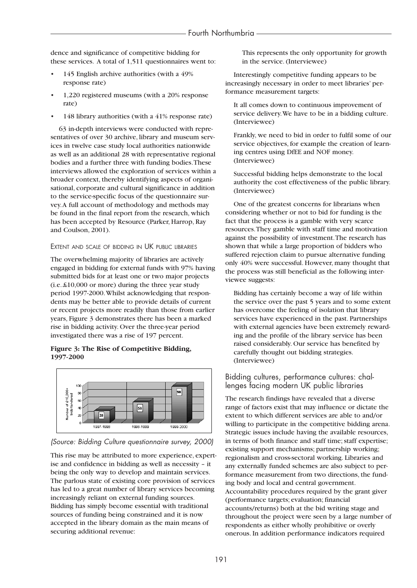dence and significance of competitive bidding for these services. A total of 1,511 questionnaires went to:

- 145 English archive authorities (with a 49% response rate)
- 1,220 registered museums (with a 20% response rate)
- 148 library authorities (with a 41% response rate)

63 in-depth interviews were conducted with representatives of over 30 archive, library and museum services in twelve case study local authorities nationwide as well as an additional 28 with representative regional bodies and a further three with funding bodies.These interviews allowed the exploration of services within a broader context, thereby identifying aspects of organisational, corporate and cultural significance in addition to the service-specific focus of the questionnaire survey.A full account of methodology and methods may be found in the final report from the research, which has been accepted by Resource (Parker, Harrop, Ray and Coulson, 2001).

#### EXTENT AND SCALE OF BIDDING IN UK PUBLIC LIBRARIES

The overwhelming majority of libraries are actively engaged in bidding for external funds with 97% having submitted bids for at least one or two major projects (i.e. £10,000 or more) during the three year study period 1997-2000.Whilst acknowledging that respondents may be better able to provide details of current or recent projects more readily than those from earlier years, Figure 3 demonstrates there has been a marked rise in bidding activity. Over the three-year period investigated there was a rise of 197 percent.

### **Figure 3: The Rise of Competitive Bidding, 1997-2000**



## *(Source: Bidding Culture questionnaire survey, 2000)*

This rise may be attributed to more experience, expertise and confidence in bidding as well as necessity – it being the only way to develop and maintain services. The parlous state of existing core provision of services has led to a great number of library services becoming increasingly reliant on external funding sources. Bidding has simply become essential with traditional sources of funding being constrained and it is now accepted in the library domain as the main means of securing additional revenue:

This represents the only opportunity for growth in the service. (Interviewee)

Interestingly competitive funding appears to be increasingly necessary in order to meet libraries' performance measurement targets:

It all comes down to continuous improvement of service delivery.We have to be in a bidding culture. (Interviewee)

Frankly, we need to bid in order to fulfil some of our service objectives, for example the creation of learning centres using DfEE and NOF money. (Interviewee)

Successful bidding helps demonstrate to the local authority the cost effectiveness of the public library. (Interviewee)

One of the greatest concerns for librarians when considering whether or not to bid for funding is the fact that the process is a gamble with very scarce resources.They gamble with staff time and motivation against the possibility of investment.The research has shown that while a large proportion of bidders who suffered rejection claim to pursue alternative funding only 40% were successful. However, many thought that the process was still beneficial as the following interviewee suggests:

Bidding has certainly become a way of life within the service over the past 5 years and to some extent has overcome the feeling of isolation that library services have experienced in the past. Partnerships with external agencies have been extremely rewarding and the profile of the library service has been raised considerably. Our service has benefited by carefully thought out bidding strategies. (Interviewee)

# Bidding cultures, performance cultures: challenges facing modern UK public libraries

The research findings have revealed that a diverse range of factors exist that may influence or dictate the extent to which different services are able to and/or willing to participate in the competitive bidding arena. Strategic issues include having the available resources, in terms of both finance and staff time; staff expertise; existing support mechanisms; partnership working; regionalism and cross-sectoral working. Libraries and any externally funded schemes are also subject to performance measurement from two directions, the funding body and local and central government. Accountability procedures required by the grant giver (performance targets; evaluation; financial accounts/returns) both at the bid writing stage and throughout the project were seen by a large number of respondents as either wholly prohibitive or overly onerous. In addition performance indicators required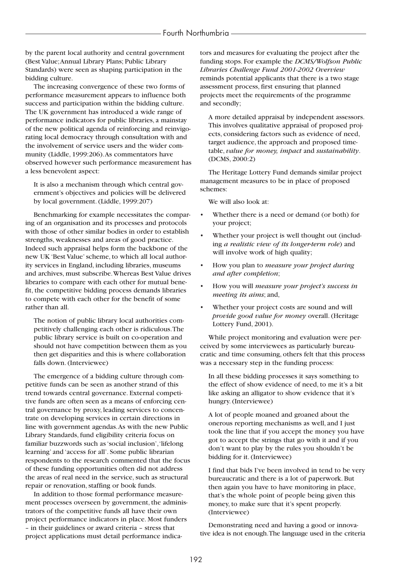by the parent local authority and central government (Best Value;Annual Library Plans; Public Library Standards) were seen as shaping participation in the bidding culture.

The increasing convergence of these two forms of performance measurement appears to influence both success and participation within the bidding culture. The UK government has introduced a wide range of performance indicators for public libraries, a mainstay of the new political agenda of reinforcing and reinvigorating local democracy through consultation with and the involvement of service users and the wider community (Liddle, 1999:206).As commentators have observed however such performance measurement has a less benevolent aspect:

It is also a mechanism through which central government's objectives and policies will be delivered by local government. (Liddle, 1999:207)

Benchmarking for example necessitates the comparing of an organisation and its processes and protocols with those of other similar bodies in order to establish strengths, weaknesses and areas of good practice. Indeed such appraisal helps form the backbone of the new UK 'Best Value' scheme, to which all local authority services in England, including libraries, museums and archives, must subscribe.Whereas Best Value drives libraries to compare with each other for mutual benefit, the competitive bidding process demands libraries to compete with each other for the benefit of some rather than all.

The notion of public library local authorities competitively challenging each other is ridiculous.The public library service is built on co-operation and should not have competition between them as you then get disparities and this is where collaboration falls down. (Interviewee)

The emergence of a bidding culture through competitive funds can be seen as another strand of this trend towards central governance. External competitive funds are often seen as a means of enforcing central governance by proxy, leading services to concentrate on developing services in certain directions in line with government agendas.As with the new Public Library Standards, fund eligibility criteria focus on familiar buzzwords such as 'social inclusion','lifelong learning' and 'access for all'. Some public librarian respondents to the research commented that the focus of these funding opportunities often did not address the areas of real need in the service, such as structural repair or renovation, staffing or book funds.

In addition to those formal performance measurement processes overseen by government, the administrators of the competitive funds all have their own project performance indicators in place. Most funders – in their guidelines or award criteria – stress that project applications must detail performance indicators and measures for evaluating the project after the funding stops. For example the *DCMS/Wolfson Public Libraries Challenge Fund 2001-2002 Overview* reminds potential applicants that there is a two stage assessment process, first ensuring that planned projects meet the requirements of the programme and secondly;

A more detailed appraisal by independent assessors. This involves qualitative appraisal of proposed projects, considering factors such as evidence of need, target audience, the approach and proposed timetable, *value for money, impact* and *sustainability*. (DCMS, 2000:2)

The Heritage Lottery Fund demands similar project management measures to be in place of proposed schemes:

We will also look at:

- Whether there is a need or demand (or both) for your project;
- Whether your project is well thought out (including *a realistic view of its longer-term role*) and will involve work of high quality;
- How you plan to *measure your project during and after completion*;
- How you will *measure your project's success in meeting its aims*; and,
- Whether your project costs are sound and will *provide good value for money* overall. (Heritage Lottery Fund, 2001).

While project monitoring and evaluation were perceived by some interviewees as particularly bureaucratic and time consuming, others felt that this process was a necessary step in the funding process:

In all these bidding processes it says something to the effect of show evidence of need, to me it's a bit like asking an alligator to show evidence that it's hungry. (Interviewee)

A lot of people moaned and groaned about the onerous reporting mechanisms as well, and I just took the line that if you accept the money you have got to accept the strings that go with it and if you don't want to play by the rules you shouldn't be bidding for it. (Interviewee)

I find that bids I've been involved in tend to be very bureaucratic and there is a lot of paperwork. But then again you have to have monitoring in place, that's the whole point of people being given this money, to make sure that it's spent properly. (Interviewee)

Demonstrating need and having a good or innovative idea is not enough.The language used in the criteria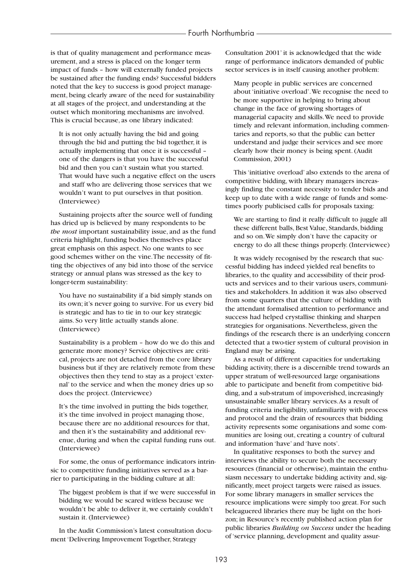is that of quality management and performance measurement, and a stress is placed on the longer term impact of funds – how will externally funded projects be sustained after the funding ends? Successful bidders noted that the key to success is good project management, being clearly aware of the need for sustainability at all stages of the project, and understanding at the outset which monitoring mechanisms are involved. This is crucial because, as one library indicated:

It is not only actually having the bid and going through the bid and putting the bid together, it is actually implementing that once it is successful – one of the dangers is that you have the successful bid and then you can't sustain what you started. That would have such a negative effect on the users and staff who are delivering those services that we wouldn't want to put ourselves in that position. (Interviewee)

Sustaining projects after the source well of funding has dried up is believed by many respondents to be *the most* important sustainability issue, and as the fund criteria highlight, funding bodies themselves place great emphasis on this aspect. No one wants to see good schemes wither on the vine.The necessity of fitting the objectives of any bid into those of the service strategy or annual plans was stressed as the key to longer-term sustainability:

You have no sustainability if a bid simply stands on its own; it's never going to survive. For us every bid is strategic and has to tie in to our key strategic aims. So very little actually stands alone. (Interviewee)

Sustainability is a problem – how do we do this and generate more money? Service objectives are critical, projects are not detached from the core library business but if they are relatively remote from these objectives then they tend to stay as a project 'external' to the service and when the money dries up so does the project. (Interviewee)

It's the time involved in putting the bids together, it's the time involved in project managing those, because there are no additional resources for that, and then it's the sustainability and additional revenue, during and when the capital funding runs out. (Interviewee)

For some, the onus of performance indicators intrinsic to competitive funding initiatives served as a barrier to participating in the bidding culture at all:

The biggest problem is that if we were successful in bidding we would be scared witless because we wouldn't be able to deliver it, we certainly couldn't sustain it. (Interviewee)

In the Audit Commission's latest consultation document 'Delivering Improvement Together, Strategy

Consultation 2001' it is acknowledged that the wide range of performance indicators demanded of public sector services is in itself causing another problem:

Many people in public services are concerned about 'initiative overload'.We recognise the need to be more supportive in helping to bring about change in the face of growing shortages of managerial capacity and skills.We need to provide timely and relevant information, including commentaries and reports, so that the public can better understand and judge their services and see more clearly how their money is being spent. (Audit Commission, 2001)

This 'initiative overload' also extends to the arena of competitive bidding, with library managers increasingly finding the constant necessity to tender bids and keep up to date with a wide range of funds and sometimes poorly publicised calls for proposals taxing:

We are starting to find it really difficult to juggle all these different balls, Best Value, Standards, bidding and so on.We simply don't have the capacity or energy to do all these things properly. (Interviewee)

It was widely recognised by the research that successful bidding has indeed yielded real benefits to libraries, to the quality and accessibility of their products and services and to their various users, communities and stakeholders. In addition it was also observed from some quarters that the culture of bidding with the attendant formalised attention to performance and success had helped crystallise thinking and sharpen strategies for organisations. Nevertheless, given the findings of the research there is an underlying concern detected that a two-tier system of cultural provision in England may be arising.

As a result of different capacities for undertaking bidding activity, there is a discernible trend towards an upper stratum of well-resourced large organisations able to participate and benefit from competitive bidding, and a sub-stratum of impoverished, increasingly unsustainable smaller library services.As a result of funding criteria ineligibility, unfamiliarity with process and protocol and the drain of resources that bidding activity represents some organisations and some communities are losing out, creating a country of cultural and information 'have' and 'have nots'.

In qualitative responses to both the survey and interviews the ability to secure both the necessary resources (financial or otherwise), maintain the enthusiasm necessary to undertake bidding activity and, significantly, meet project targets were raised as issues. For some library managers in smaller services the resource implications were simply too great. For such beleaguered libraries there may be light on the horizon; in Resource's recently published action plan for public libraries *Building on Success* under the heading of 'service planning, development and quality assur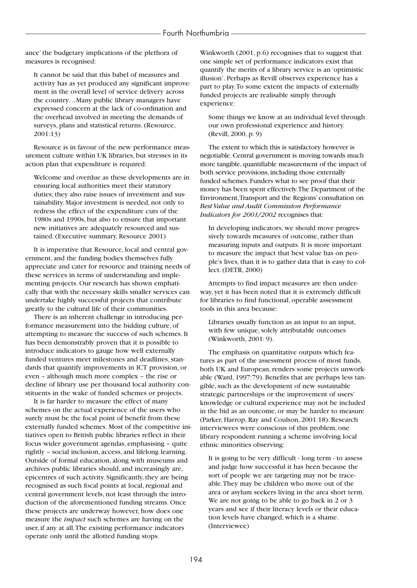ance' the budgetary implications of the plethora of measures is recognised:

It cannot be said that this babel of measures and activity has as yet produced any significant improvement in the overall level of service delivery across the country…Many public library managers have expressed concern at the lack of co-ordination and the overhead involved in meeting the demands of surveys, plans and statistical returns. (Resource, 2001:13)

Resource is in favour of the new performance measurement culture within UK libraries, but stresses in its action plan that expenditure is required:

Welcome and overdue as these developments are in ensuring local authorities meet their statutory duties; they also raise issues of investment and sustainability. Major investment is needed, not only to redress the effect of the expenditure cuts of the 1980s and 1990s, but also to ensure that important new initiatives are adequately resourced and sustained. (Executive summary, Resource 2001)

It is imperative that Resource, local and central government, and the funding bodies themselves fully appreciate and cater for resource and training needs of these services in terms of understanding and implementing projects. Our research has shown emphatically that with the necessary skills smaller services can undertake highly successful projects that contribute greatly to the cultural life of their communities.

There is an inherent challenge in introducing performance measurement into the bidding culture, of attempting to measure the success of such schemes. It has been demonstrably proven that it is possible to introduce indicators to gauge how well externally funded ventures meet milestones and deadlines, standards that quantify improvements in ICT provision, or even – although much more complex – the rise or decline of library use per thousand local authority constituents in the wake of funded schemes or projects.

It is far harder to measure the effect of many schemes on the actual experience of the users who surely must be the focal point of benefit from these externally funded schemes. Most of the competitive initiatives open to British public libraries reflect in their focus wider government agendas, emphasising – quite rightly – social inclusion, access, and lifelong learning. Outside of formal education, along with museums and archives public libraries should, and increasingly are, epicentres of such activity. Significantly, they are being recognised as such focal points at local, regional and central government levels, not least through the introduction of the aforementioned funding streams. Once these projects are underway however, how does one measure the *impact* such schemes are having on the user, if any at all.The existing performance indicators operate only until the allotted funding stops.

Winkworth (2001, p.6) recognises that to suggest that one simple set of performance indicators exist that quantify the merits of a library service is an 'optimistic illusion'. Perhaps as Revill observes experience has a part to play.To some extent the impacts of externally funded projects are realisable simply through experience:

Some things we know at an individual level through our own professional experience and history. (Revill, 2000, p. 9)

The extent to which this is satisfactory however is negotiable. Central government is moving towards much more tangible, quantifiable measurement of the impact of both service provisions, including those externally funded schemes. Funders what to see proof that their money has been spent effectively.The Department of the Environment,Transport and the Regions' consultation on *Best Value and Audit Commission Performance Indicators for 2001/2002* recognises that:

In developing indicators, we should move progressively towards measures of outcome, rather than measuring inputs and outputs. It is more important to measure the impact that best value has on people's lives, than it is to gather data that is easy to collect. (DETR, 2000)

Attempts to find impact measures are then underway, yet it has been noted that it is extremely difficult for libraries to find functional, operable assessment tools in this area because:

Libraries usually function as an input to an input, with few unique, solely attributable outcomes (Winkworth, 2001: 9).

The emphasis on quantitative outputs which features as part of the assessment process of most funds, both UK and European, renders some projects unworkable (Ward, 1997:79). Benefits that are perhaps less tangible, such as the development of new sustainable strategic partnerships or the improvement of users' knowledge or cultural experience may not be included in the bid as an outcome, or may be harder to measure (Parker, Harrop, Ray and Coulson, 2001:18). Research interviewees were conscious of this problem, one library respondent running a scheme involving local ethnic minorities observing:

It is going to be very difficult - long term - to assess and judge how successful it has been because the sort of people we are targeting may not be traceable.They may be children who move out of the area or asylum seekers living in the area short term. We are not going to be able to go back in 2 or 3 years and see if their literacy levels or their education levels have changed, which is a shame. (Interviewee)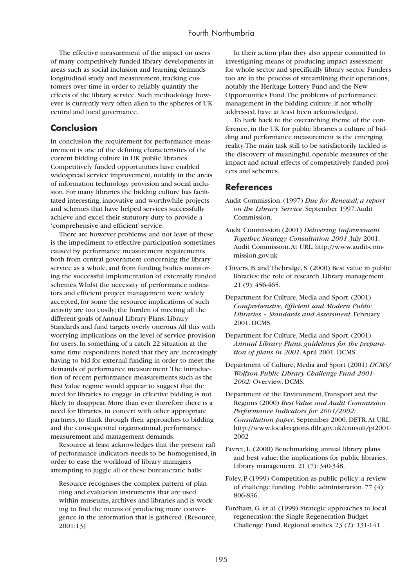The effective measurement of the impact on users of many competitively funded library developments in areas such as social inclusion and learning demands longitudinal study and measurement, tracking customers over time in order to reliably quantify the effects of the library service. Such methodology however is currently very often alien to the spheres of UK central and local governance.

# **Conclusion**

In conclusion the requirement for performance measurement is one of the defining characteristics of the current bidding culture in UK public libraries. Competitively funded opportunities have enabled widespread service improvement, notably in the areas of information technology provision and social inclusion. For many libraries the bidding culture has facilitated interesting, innovative and worthwhile projects and schemes that have helped services successfully achieve and excel their statutory duty to provide a 'comprehensive and efficient' service.

There are however problems, and not least of these is the impediment to effective participation sometimes caused by performance measurement requirements, both from central government concerning the library service as a whole, and from funding bodies monitoring the successful implementation of externally funded schemes.Whilst the necessity of performance indicators and efficient project management were widely accepted, for some the resource implications of such activity are too costly; the burden of meeting all the different goals of Annual Library Plans, Library Standards and fund targets overly onerous.All this with worrying implications on the level of service provision for users. In something of a catch 22 situation at the same time respondents noted that they are increasingly having to bid for external funding in order to meet the demands of performance measurement.The introduction of recent performance measurements such as the Best Value regime would appear to suggest that the need for libraries to engage in effective bidding is not likely to disappear. More than ever therefore there is a need for libraries, in concert with other appropriate partners, to think through their approaches to bidding and the consequential organisational, performance measurement and management demands.

Resource at least acknowledges that the present raft of performance indicators needs to be homogenised, in order to ease the workload of library managers attempting to juggle all of these bureaucratic balls:

Resource recognises the complex pattern of planning and evaluation instruments that are used within museums, archives and libraries and is working to find the means of producing more convergence in the information that is gathered. (Resource, 2001:13)

In their action plan they also appear committed to investigating means of producing impact assessment for whole sector and specifically library sector. Funders too are in the process of streamlining their operations, notably the Heritage Lottery Fund and the New Opportunities Fund.The problems of performance management in the bidding culture, if not wholly addressed, have at least been acknowledged.

To hark back to the overarching theme of the conference, in the UK for public libraries a culture of bidding and performance measurement is the emerging reality.The main task still to be satisfactorily tackled is the discovery of meaningful, operable measures of the impact and actual effects of competitively funded projects and schemes.

# **References**

- Audit Commission. (1997) *Due for Renewal: a report on the Library Service*. September 1997.Audit Commission.
- Audit Commission (2001) *Delivering Improvement Together, Strategy Consultation 2001*. July 2001. Audit Commission.At URL: http://www.audit-commission.gov.uk
- Chivers, B. and Thebridge, S. (2000) Best value in public libraries: the role of research. Library management. 21 (9): 456-465.
- Department for Culture, Media and Sport. (2001) *Comprehensive, Efficient and Modern Public Libraries – Standards and Assessment*. February 2001. DCMS.
- Department for Culture, Media and Sport. (2001) *Annual Library Plans: guidelines for the preparation of plans in 2001*.April 2001. DCMS.
- Department of Culture, Media and Sport (2001) *DCMS/ Wolfson Public Library Challenge Fund 2001- 2002:* Overview. DCMS.
- Department of the Environment,Transport and the Regions (2000) *Best Value and Audit Commission Performance Indicators for 2001/2002: Consultation paper*. September 2000. DETR.At URL: http://www.local-regions.dtlr.gov.uk/consult/pi2001- 2002
- Favret, L. (2000) Benchmarking, annual library plans and best value: the implications for public libraries. Library management. 21 (7): 340-348.
- Foley, P. (1999) Competition as public policy: a review of challenge funding. Public administration. 77 (4): 806-836.

Fordham, G. et al. (1999) Strategic approaches to local regeneration: the Single Regeneration Budget Challenge Fund. Regional studies. 23 (2): 131-141.